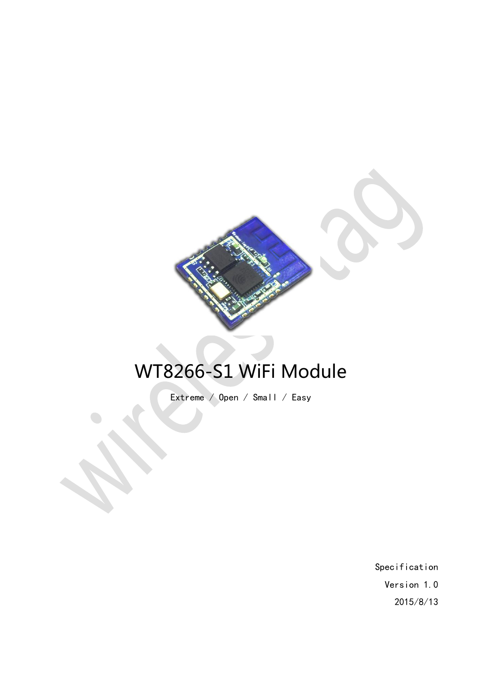

# WT8266-S1 WiFi Module

Extreme / Open / Small / Easy

Specification Version 1.0 2015/8/13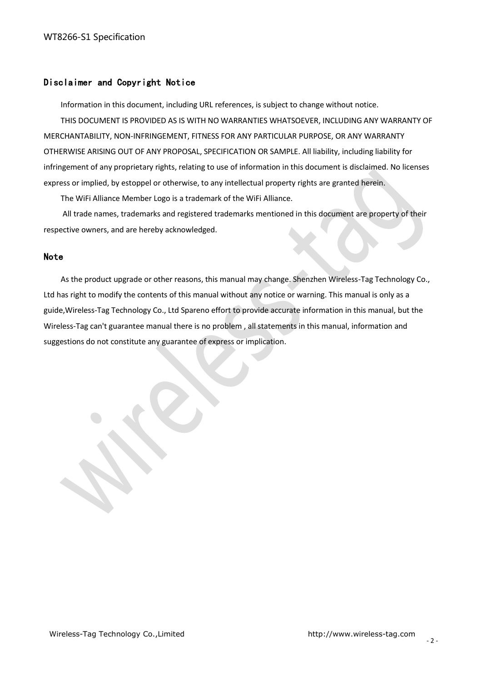# Disclaimer and Copyright Notice

Information in this document, including URL references, is subject to change without notice.

THIS DOCUMENT IS PROVIDED AS IS WITH NO WARRANTIES WHATSOEVER, INCLUDING ANY WARRANTY OF MERCHANTABILITY, NON-INFRINGEMENT, FITNESS FOR ANY PARTICULAR PURPOSE, OR ANY WARRANTY OTHERWISE ARISING OUT OF ANY PROPOSAL, SPECIFICATION OR SAMPLE. All liability, including liability for infringement of any proprietary rights, relating to use of information in this document is disclaimed. No licenses express or implied, by estoppel or otherwise, to any intellectual property rights are granted herein.

The WiFi Alliance Member Logo is a trademark of the WiFi Alliance.

All trade names, trademarks and registered trademarks mentioned in this document are property of their respective owners, and are hereby acknowledged.

#### Note

As the product upgrade or other reasons, this manual may change. Shenzhen Wireless-Tag Technology Co., Ltd has right to modify the contents of this manual without any notice or warning. This manual is only as a guide,Wireless-Tag Technology Co., Ltd Spareno effort to provide accurate information in this manual, but the Wireless-Tag can't guarantee manual there is no problem , all statements in this manual, information and suggestions do not constitute any guarantee of express or implication.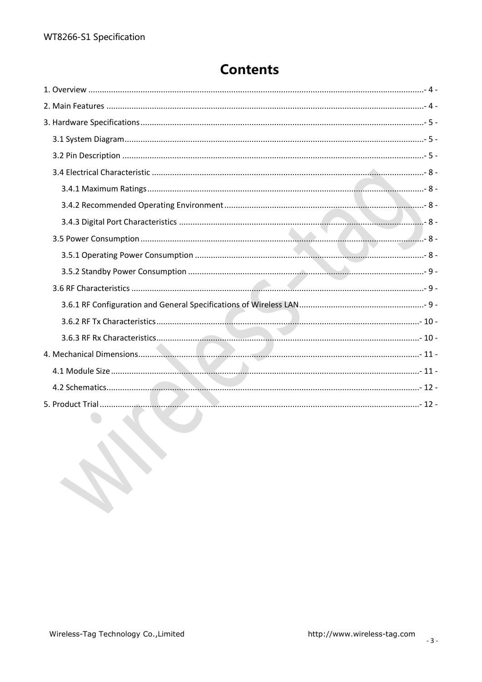# **Contents**

| the contract of the contract of |  |
|---------------------------------|--|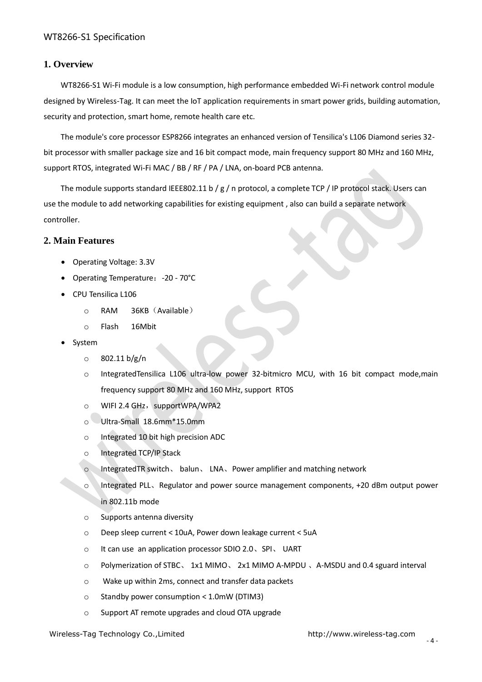#### <span id="page-3-0"></span>**1. Overview**

WT8266-S1 Wi-Fi module is a low consumption, high performance embedded Wi-Fi network control module designed by Wireless-Tag. It can meet the IoT application requirements in smart power grids, building automation, security and protection, smart home, remote health care etc.

The module's core processor ESP8266 integrates an enhanced version of Tensilica's L106 Diamond series 32 bit processor with smaller package size and 16 bit compact mode, main frequency support 80 MHz and 160 MHz, support RTOS, integrated Wi-Fi MAC / BB / RF / PA / LNA, on-board PCB antenna.

The module supports standard IEEE802.11 b / g / n protocol, a complete TCP / IP protocol stack. Users can use the module to add networking capabilities for existing equipment , also can build a separate network controller.

#### <span id="page-3-1"></span>**2. Main Features**

- Operating Voltage: 3.3V
- Operating Temperature:-20 70°C
- CPU Tensilica L106
	- o RAM 36KB(Available)
	- o Flash 16Mbit
- System
	- o 802.11 b/g/n
	- o IntegratedTensilica L106 ultra-low power 32-bitmicro MCU, with 16 bit compact mode,main frequency support 80 MHz and 160 MHz, support RTOS
	- o WIFI 2.4 GHz, supportWPA/WPA2
	- o Ultra-Small 18.6mm\*15.0mm
	- o Integrated 10 bit high precision ADC
	- o Integrated TCP/IP Stack
	- o IntegratedTR switch、 balun、 LNA、Power amplifier and matching network
	- o Integrated PLL、Regulator and power source management components, +20 dBm output power in 802.11b mode
	- o Supports antenna diversity
	- o Deep sleep current < 10uA, Power down leakage current < 5uA
	- o It can use an application processor SDIO 2.0、SPI、 UART
	- o Polymerization of STBC、 1x1 MIMO、 2x1 MIMO A-MPDU 、A-MSDU and 0.4 sguard interval
	- o Wake up within 2ms, connect and transfer data packets
	- o Standby power consumption < 1.0mW (DTIM3)
	- o Support AT remote upgrades and cloud OTA upgrade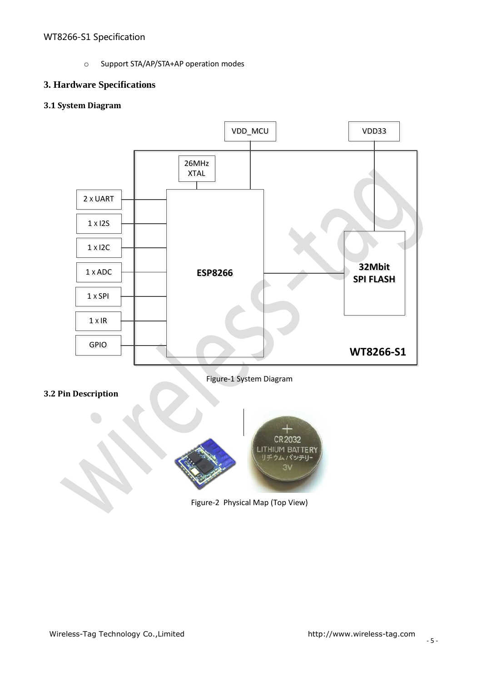o Support STA/AP/STA+AP operation modes

# <span id="page-4-0"></span>**3. Hardware Specifications**

# <span id="page-4-1"></span>**3.1 System Diagram**



Figure-1 System Diagram

<span id="page-4-2"></span>



Figure-2 Physical Map (Top View)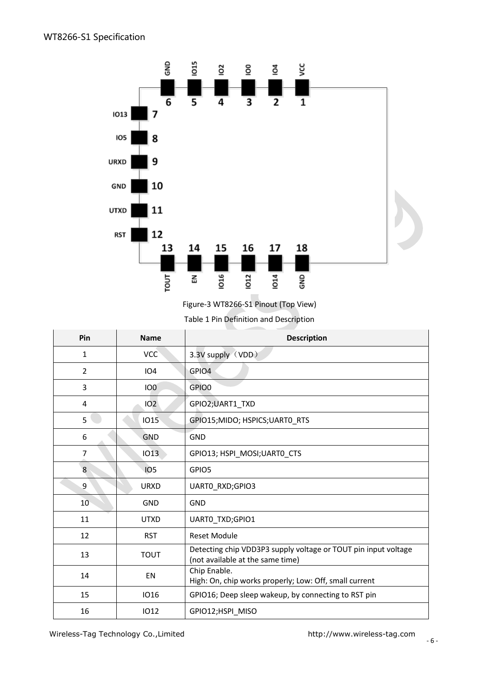

Figure-3 WT8266-S1 Pinout (Top View)

Table 1 Pin Definition and Description

| Pin              | <b>Name</b>     | <b>Description</b>                                                                                 |
|------------------|-----------------|----------------------------------------------------------------------------------------------------|
| 1                | <b>VCC</b>      | 3.3V supply (VDD)                                                                                  |
| $\overline{2}$   | <b>IO4</b>      | GPIO4                                                                                              |
| 3                | IO <sub>0</sub> | GPIO0                                                                                              |
| 4                | 102             | GPIO2;UART1_TXD                                                                                    |
| 5                | <b>IO15</b>     | GPIO15;MIDO; HSPICS;UARTO RTS                                                                      |
| $6\phantom{1}6$  | <b>GND</b>      | <b>GND</b>                                                                                         |
| 7                | <b>IO13</b>     | GPIO13; HSPI MOSI; UARTO CTS                                                                       |
| 8                | <b>IO5</b>      | GPIO5                                                                                              |
| $\boldsymbol{9}$ | <b>URXD</b>     | UARTO RXD;GPIO3                                                                                    |
| 10               | GND             | GND                                                                                                |
| 11               | <b>UTXD</b>     | <b>UARTO TXD;GPIO1</b>                                                                             |
| 12               | <b>RST</b>      | <b>Reset Module</b>                                                                                |
| 13               | <b>TOUT</b>     | Detecting chip VDD3P3 supply voltage or TOUT pin input voltage<br>(not available at the same time) |
| 14               | EN              | Chip Enable.<br>High: On, chip works properly; Low: Off, small current                             |
| 15               | <b>IO16</b>     | GPIO16; Deep sleep wakeup, by connecting to RST pin                                                |
| 16               | 1012            | GPIO12;HSPI_MISO                                                                                   |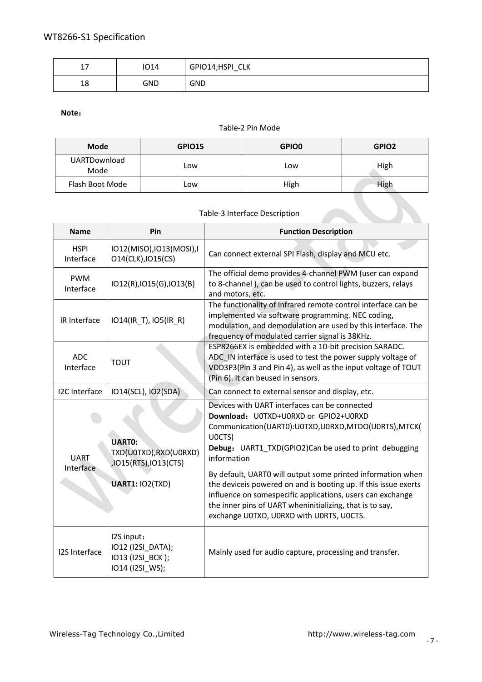| $\rightarrow$ | 1014 | GPIO14;HSPI_CLK |
|---------------|------|-----------------|
| 18            | GND  | <b>GND</b>      |

# **Note**:

#### Table-2 Pin Mode

| <b>Mode</b>                 | GPIO15 | <b>GPIO0</b> | GPIO <sub>2</sub> |
|-----------------------------|--------|--------------|-------------------|
| <b>UARTDownload</b><br>Mode | Low    | Low          | High              |
| Flash Boot Mode             | Low    | High         | High              |

# Table-3 Interface Description

| <b>Name</b>              | Pin                                                                    | <b>Function Description</b>                                                                                                                                                                                                                                                                          |  |  |
|--------------------------|------------------------------------------------------------------------|------------------------------------------------------------------------------------------------------------------------------------------------------------------------------------------------------------------------------------------------------------------------------------------------------|--|--|
| <b>HSPI</b><br>Interface | IO12(MISO), IO13(MOSI), I<br>014(CLK), IO15(CS)                        | Can connect external SPI Flash, display and MCU etc.                                                                                                                                                                                                                                                 |  |  |
| <b>PWM</b><br>Interface  | IO12(R), IO15(G), IO13(B)                                              | The official demo provides 4-channel PWM (user can expand<br>to 8-channel), can be used to control lights, buzzers, relays<br>and motors, etc.                                                                                                                                                       |  |  |
| IR Interface             | IO14(IR_T), IO5(IR_R)                                                  | The functionality of Infrared remote control interface can be<br>implemented via software programming. NEC coding,<br>modulation, and demodulation are used by this interface. The<br>frequency of modulated carrier signal is 38KHz.                                                                |  |  |
| <b>ADC</b><br>Interface  | <b>TOUT</b>                                                            | ESP8266EX is embedded with a 10-bit precision SARADC.<br>ADC IN interface is used to test the power supply voltage of<br>VDD3P3(Pin 3 and Pin 4), as well as the input voltage of TOUT<br>(Pin 6). It can beused in sensors.                                                                         |  |  |
| I2C Interface            | IO14(SCL), IO2(SDA)                                                    | Can connect to external sensor and display, etc.                                                                                                                                                                                                                                                     |  |  |
| <b>UART</b>              | <b>UARTO:</b><br>TXD(U0TXD), RXD(U0RXD)<br>,IO15(RTS),IO13(CTS)        | Devices with UART interfaces can be connected<br>Download: U0TXD+U0RXD or GPIO2+U0RXD<br>Communication(UART0):U0TXD,U0RXD,MTDO(U0RTS),MTCK(<br>UOCTS)<br>Debug: UART1_TXD(GPIO2)Can be used to print debugging<br>information                                                                        |  |  |
| Interface                | <b>UART1: IO2(TXD)</b>                                                 | By default, UARTO will output some printed information when<br>the deviceis powered on and is booting up. If this issue exerts<br>influence on somespecific applications, users can exchange<br>the inner pins of UART wheninitializing, that is to say,<br>exchange U0TXD, U0RXD with U0RTS, U0CTS. |  |  |
| <b>I2S Interface</b>     | I2S input:<br>IO12 (I2SI_DATA);<br>IO13 (I2SI BCK);<br>IO14 (I2SI_WS); | Mainly used for audio capture, processing and transfer.                                                                                                                                                                                                                                              |  |  |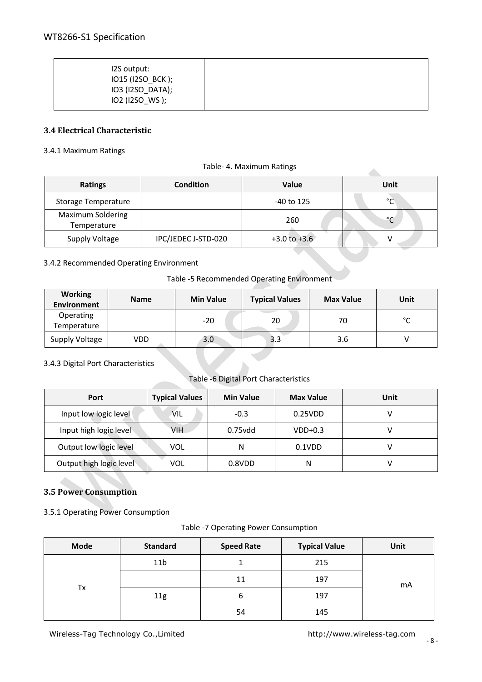| IO2 (I2SO_WS); |
|----------------|
|----------------|

#### <span id="page-7-0"></span>**3.4 Electrical Characteristic**

#### <span id="page-7-1"></span>3.4.1 Maximum Ratings

#### Table- 4. Maximum Ratings

| $1001C$ $\rightarrow$ . $1010 \lambda 11110111110111153$ |                     |                  |      |  |  |
|----------------------------------------------------------|---------------------|------------------|------|--|--|
| <b>Ratings</b>                                           | <b>Condition</b>    | <b>Value</b>     | Unit |  |  |
| Storage Temperature                                      |                     | $-40$ to 125     | °C   |  |  |
| <b>Maximum Soldering</b><br>Temperature                  |                     | 260              | °C   |  |  |
| Supply Voltage                                           | IPC/JEDEC J-STD-020 | $+3.0$ to $+3.6$ |      |  |  |

#### <span id="page-7-2"></span>3.4.2 Recommended Operating Environment

#### Table -5 Recommended Operating Environment

| <b>Working</b><br>Environment | <b>Name</b> | <b>Min Value</b> | <b>Typical Values</b> | <b>Max Value</b> | Unit   |
|-------------------------------|-------------|------------------|-----------------------|------------------|--------|
| Operating<br>Temperature      |             | $-20$            | 20                    | 70               | $\sim$ |
| Supply Voltage                | VDD         | 3.0              | 3.3                   | 3.6              |        |

#### <span id="page-7-3"></span>3.4.3 Digital Port Characteristics

#### Table -6 Digital Port Characteristics

| Port                    | <b>Typical Values</b> | <b>Min Value</b> | <b>Max Value</b> | Unit |
|-------------------------|-----------------------|------------------|------------------|------|
| Input low logic level   | Vil                   | $-0.3$           | 0.25VDD          |      |
| Input high logic level  | VIH                   | $0.75$ vdd       | $VDD+0.3$        |      |
| Output low logic level  | VOL                   | Ν                | $0.1$ VDD        |      |
| Output high logic level | VOL                   | 0.8VDD           | Ν                |      |

#### <span id="page-7-4"></span>**3.5 Power Consumption**

<span id="page-7-5"></span>3.5.1 Operating Power Consumption

Table -7 Operating Power Consumption

| <b>Mode</b> | <b>Standard</b> | <b>Speed Rate</b> | <b>Typical Value</b> | <b>Unit</b> |
|-------------|-----------------|-------------------|----------------------|-------------|
|             | 11 <sub>b</sub> |                   | 215                  |             |
| Тx          |                 | 11                | 197                  | mA          |
|             | 11g             | ь                 | 197                  |             |
|             |                 | 54                | 145                  |             |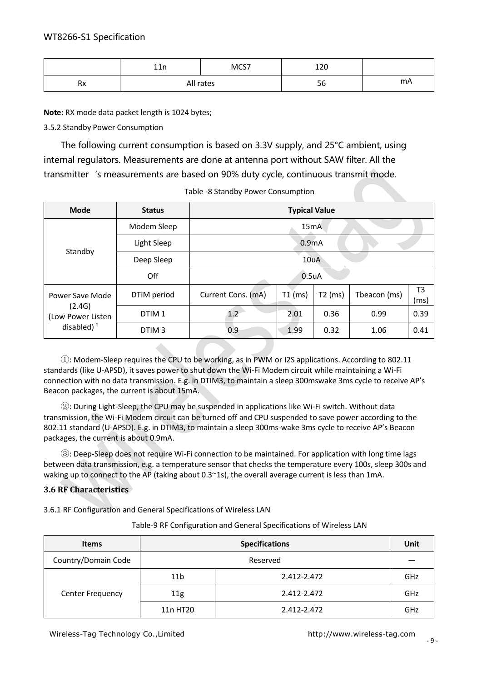|            | 11 <sub>n</sub><br>ᆂᆂᄓ | MCS7 | 120<br>ᆂᅀᅛ |    |
|------------|------------------------|------|------------|----|
| Dv.<br>ĸХ. | All rates              |      | - -<br>oc  | mA |

**Note:** RX mode data packet length is 1024 bytes;

<span id="page-8-0"></span>3.5.2 Standby Power Consumption

The following current consumption is based on 3.3V supply, and 25°C ambient, using internal regulators. Measurements are done at antenna port without SAW filter. All the transmitter's measurements are based on 90% duty cycle, continuous transmit mode.

| <b>Mode</b>                                                      | <b>Status</b>     | <b>Typical Value</b> |           |           |              |            |  |
|------------------------------------------------------------------|-------------------|----------------------|-----------|-----------|--------------|------------|--|
| Standby                                                          | Modem Sleep       | 15mA                 |           |           |              |            |  |
|                                                                  | Light Sleep       | 0.9 <sub>m</sub> A   |           |           |              |            |  |
|                                                                  | Deep Sleep        | 10uA                 |           |           |              |            |  |
|                                                                  | Off               | $0.5u$ A             |           |           |              |            |  |
| Power Save Mode<br>(2.4G)<br>(Low Power Listen)<br>disabled) $1$ | DTIM period       | Current Cons. (mA)   | $T1$ (ms) | $T2$ (ms) | Tbeacon (ms) | T3<br>(ms) |  |
|                                                                  | DTIM <sub>1</sub> | $1.2^{\circ}$        | 2.01      | 0.36      | 0.99         | 0.39       |  |
|                                                                  | DTIM <sub>3</sub> | 0.9                  | 1.99      | 0.32      | 1.06         | 0.41       |  |

①: Modem-Sleep requires the CPU to be working, as in PWM or I2S applications. According to 802.11 standards (like U-APSD), it saves power to shut down the Wi-Fi Modem circuit while maintaining a Wi-Fi connection with no data transmission. E.g. in DTIM3, to maintain a sleep 300mswake 3ms cycle to receive AP's Beacon packages, the current is about 15mA.

②: During Light-Sleep, the CPU may be suspended in applications like Wi-Fi switch. Without data transmission, the Wi-Fi Modem circuit can be turned off and CPU suspended to save power according to the 802.11 standard (U-APSD). E.g. in DTIM3, to maintain a sleep 300ms-wake 3ms cycle to receive AP's Beacon packages, the current is about 0.9mA.

③: Deep-Sleep does not require Wi-Fi connection to be maintained. For application with long time lags between data transmission, e.g. a temperature sensor that checks the temperature every 100s, sleep 300s and waking up to connect to the AP (taking about 0.3~1s), the overall average current is less than 1mA.

#### <span id="page-8-1"></span>**3.6 RF Characteristics**

<span id="page-8-2"></span>3.6.1 RF Configuration and General Specifications of Wireless LAN

| <b>Items</b>        |                                   | Unit        |     |  |
|---------------------|-----------------------------------|-------------|-----|--|
| Country/Domain Code | <b>Specifications</b><br>Reserved |             |     |  |
|                     | 11 <sub>b</sub>                   | 2.412-2.472 | GHz |  |
| Center Frequency    | 11g                               | 2.412-2.472 | GHz |  |
|                     | 11n HT20                          | 2.412-2.472 | GHz |  |

Table-9 RF Configuration and General Specifications of Wireless LAN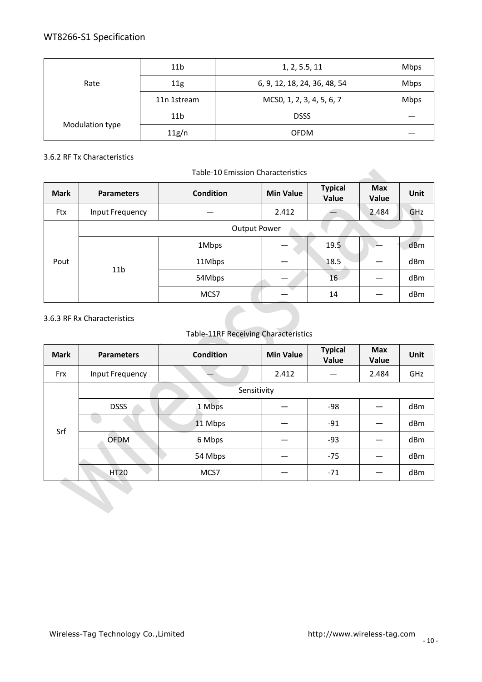| Rate            | 11 <sub>b</sub> | 1, 2, 5.5, 11                | <b>Mbps</b> |
|-----------------|-----------------|------------------------------|-------------|
|                 | 11g             | 6, 9, 12, 18, 24, 36, 48, 54 | <b>Mbps</b> |
|                 | 11n 1stream     | MCS0, 1, 2, 3, 4, 5, 6, 7    | <b>Mbps</b> |
| Modulation type | 11 <sub>b</sub> | <b>DSSS</b>                  |             |
|                 | 11g/n           | <b>OFDM</b>                  |             |

# <span id="page-9-0"></span>3.6.2 RF Tx Characteristics

#### Table-10 Emission Characteristics

| <b>Mark</b> | <b>Parameters</b>   | <b>Condition</b> | <b>Min Value</b> | <b>Typical</b><br>Value | <b>Max</b><br>Value | Unit |
|-------------|---------------------|------------------|------------------|-------------------------|---------------------|------|
| Ftx         | Input Frequency     |                  | 2.412            |                         | 2.484               | GHz  |
| Pout        | <b>Output Power</b> |                  |                  |                         |                     |      |
|             | 11 <sub>b</sub>     | 1Mbps            |                  | 19.5                    |                     | dBm  |
|             |                     | 11Mbps           |                  | 18.5                    |                     | dBm  |
|             |                     | 54Mbps           |                  | 16                      |                     | dBm  |
|             |                     | MCS7             |                  | 14                      |                     | dBm  |

#### <span id="page-9-1"></span>3.6.3 RF Rx Characteristics

#### Table-11RF Receiving Characteristics

| <b>Mark</b> | <b>Parameters</b> | <b>Condition</b> | <b>Min Value</b> | <b>Typical</b><br>Value | <b>Max</b><br>Value | Unit |
|-------------|-------------------|------------------|------------------|-------------------------|---------------------|------|
| Frx         | Input Frequency   |                  | 2.412            |                         | 2.484               | GHz  |
|             | Sensitivity       |                  |                  |                         |                     |      |
| Srf         | <b>DSSS</b>       | 1 Mbps           |                  | -98                     |                     | dBm  |
|             |                   | 11 Mbps          |                  | $-91$                   |                     | dBm  |
|             | <b>OFDM</b>       | 6 Mbps           |                  | $-93$                   |                     | dBm  |
|             |                   | 54 Mbps          |                  | $-75$                   |                     | dBm  |
|             | <b>HT20</b>       | MCS7             |                  | $-71$                   |                     | dBm  |

 $\blacktriangle$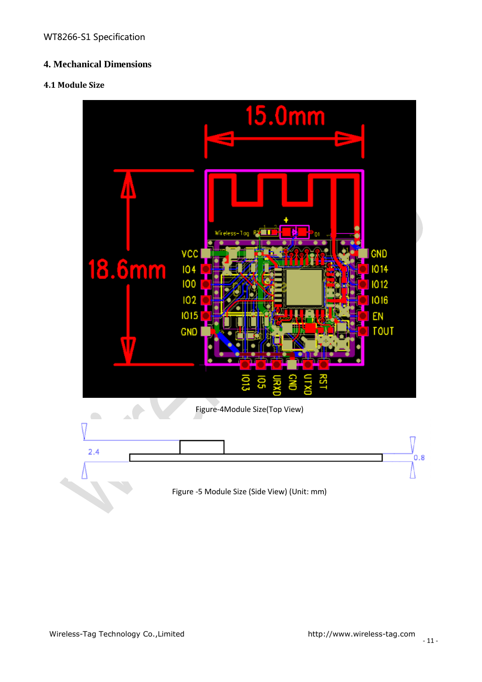# <span id="page-10-0"></span>**4. Mechanical Dimensions**

#### <span id="page-10-1"></span>**4.1 Module Size**